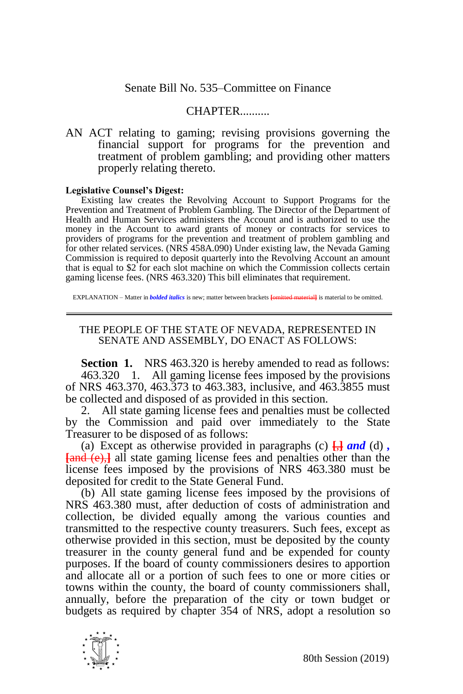## Senate Bill No. 535–Committee on Finance

## CHAPTER..........

AN ACT relating to gaming; revising provisions governing the financial support for programs for the prevention and treatment of problem gambling; and providing other matters properly relating thereto.

## **Legislative Counsel's Digest:**

Existing law creates the Revolving Account to Support Programs for the Prevention and Treatment of Problem Gambling. The Director of the Department of Health and Human Services administers the Account and is authorized to use the money in the Account to award grants of money or contracts for services to providers of programs for the prevention and treatment of problem gambling and for other related services. (NRS 458A.090) Under existing law, the Nevada Gaming Commission is required to deposit quarterly into the Revolving Account an amount that is equal to \$2 for each slot machine on which the Commission collects certain gaming license fees. (NRS 463.320) This bill eliminates that requirement.

EXPLANATION – Matter in *bolded italics* is new; matter between brackets **[**omitted material**]** is material to be omitted.

## THE PEOPLE OF THE STATE OF NEVADA, REPRESENTED IN SENATE AND ASSEMBLY, DO ENACT AS FOLLOWS:

**Section 1.** NRS 463.320 is hereby amended to read as follows: 463.320 1. All gaming license fees imposed by the provisions of NRS 463.370, 463.373 to 463.383, inclusive, and 463.3855 must be collected and disposed of as provided in this section.

2. All state gaming license fees and penalties must be collected by the Commission and paid over immediately to the State Treasurer to be disposed of as follows:

(a) Except as otherwise provided in paragraphs (c)  $\frac{\Box}{\Box}$  *and* (d), **[**and (e),**]** all state gaming license fees and penalties other than the license fees imposed by the provisions of NRS 463.380 must be deposited for credit to the State General Fund.

(b) All state gaming license fees imposed by the provisions of NRS 463.380 must, after deduction of costs of administration and collection, be divided equally among the various counties and transmitted to the respective county treasurers. Such fees, except as otherwise provided in this section, must be deposited by the county treasurer in the county general fund and be expended for county purposes. If the board of county commissioners desires to apportion and allocate all or a portion of such fees to one or more cities or towns within the county, the board of county commissioners shall, annually, before the preparation of the city or town budget or budgets as required by chapter 354 of NRS, adopt a resolution so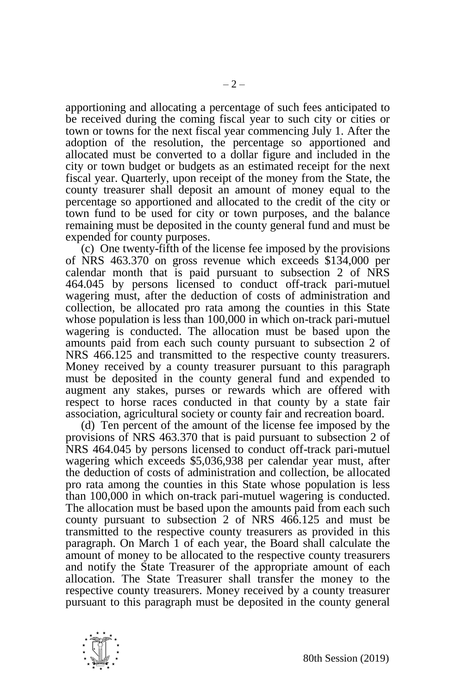apportioning and allocating a percentage of such fees anticipated to be received during the coming fiscal year to such city or cities or town or towns for the next fiscal year commencing July 1. After the adoption of the resolution, the percentage so apportioned and allocated must be converted to a dollar figure and included in the city or town budget or budgets as an estimated receipt for the next fiscal year. Quarterly, upon receipt of the money from the State, the county treasurer shall deposit an amount of money equal to the percentage so apportioned and allocated to the credit of the city or town fund to be used for city or town purposes, and the balance remaining must be deposited in the county general fund and must be expended for county purposes.

(c) One twenty-fifth of the license fee imposed by the provisions of NRS 463.370 on gross revenue which exceeds \$134,000 per calendar month that is paid pursuant to subsection 2 of NRS 464.045 by persons licensed to conduct off-track pari-mutuel wagering must, after the deduction of costs of administration and collection, be allocated pro rata among the counties in this State whose population is less than 100,000 in which on-track pari-mutuel wagering is conducted. The allocation must be based upon the amounts paid from each such county pursuant to subsection 2 of NRS 466.125 and transmitted to the respective county treasurers. Money received by a county treasurer pursuant to this paragraph must be deposited in the county general fund and expended to augment any stakes, purses or rewards which are offered with respect to horse races conducted in that county by a state fair association, agricultural society or county fair and recreation board.

(d) Ten percent of the amount of the license fee imposed by the provisions of NRS 463.370 that is paid pursuant to subsection 2 of NRS 464.045 by persons licensed to conduct off-track pari-mutuel wagering which exceeds \$5,036,938 per calendar year must, after the deduction of costs of administration and collection, be allocated pro rata among the counties in this State whose population is less than 100,000 in which on-track pari-mutuel wagering is conducted. The allocation must be based upon the amounts paid from each such county pursuant to subsection 2 of NRS 466.125 and must be transmitted to the respective county treasurers as provided in this paragraph. On March 1 of each year, the Board shall calculate the amount of money to be allocated to the respective county treasurers and notify the State Treasurer of the appropriate amount of each allocation. The State Treasurer shall transfer the money to the respective county treasurers. Money received by a county treasurer pursuant to this paragraph must be deposited in the county general